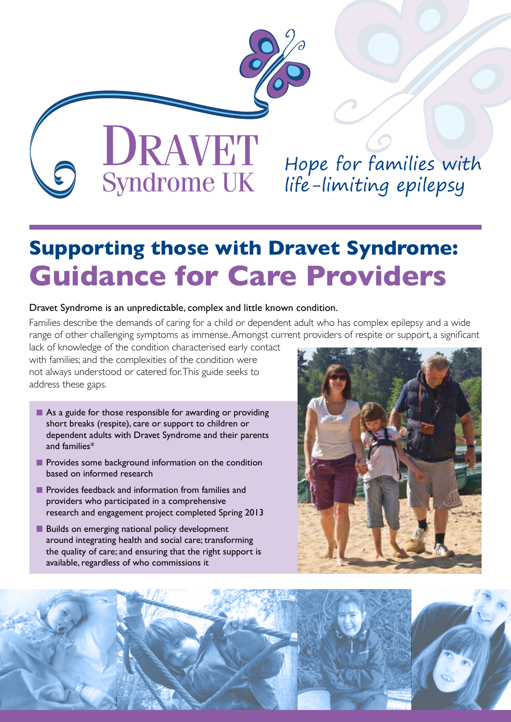

DRAVET Hope for families with Syndrome UK life-limiting epilepsy

# **Supporting those with Dravet Syndrome: Guidance for Care Providers**

#### Dravet Syndrome is an unpredictable, complex and little known condition.

Families describe the demands of caring for a child or dependent adult who has complex epilepsy and a wide range of other challenging symptoms as immense. Amongst current providers of respite or support, a significant

lack of knowledge of the condition characterised early contact with families; and the complexities of the condition were not always understood or catered for. This guide seeks to address these gaps.

- As a guide for those responsible for awarding or providing short breaks (respite), care or support to children or dependent adults with Dravet Syndrome and their parents and families\*
- **Provides some background information on the condition** based on informed research
- **Provides feedback and information from families and** providers who participated in a comprehensive research and engagement project completed Spring 2013
- **Builds on emerging national policy development** around integrating health and social care; transforming the quality of care; and ensuring that the right support is available, regardless of who commissions it



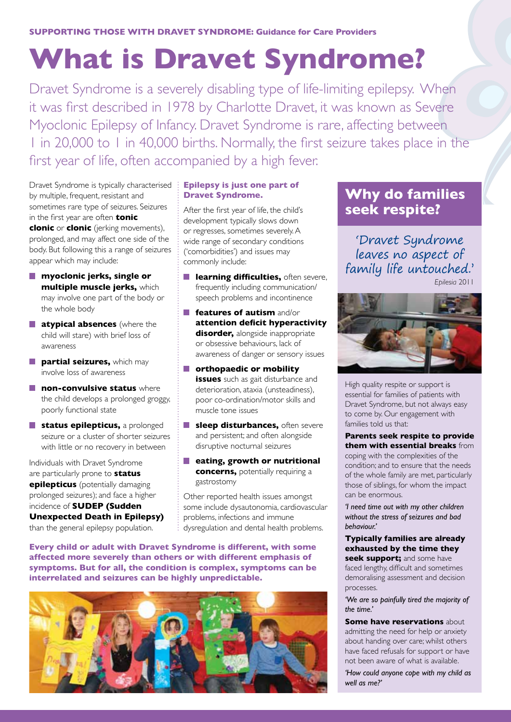# **What is Dravet Syndrome?**

Dravet Syndrome is a severely disabling type of life-limiting epilepsy. When it was first described in 1978 by Charlotte Dravet, it was known as Severe Myoclonic Epilepsy of Infancy. Dravet Syndrome is rare, affecting between 1 in 20,000 to 1 in 40,000 births. Normally, the first seizure takes place in the first year of life, often accompanied by a high fever.

Dravet Syndrome is typically characterised **Epilepsy is just one part of**  by multiple, frequent, resistant and sometimes rare type of seizures. Seizures in the first year are often **tonic clonic** or **clonic** (jerking movements), prolonged, and may affect one side of the body. But following this a range of seizures appear which may include:

- **myoclonic jerks, single or multiple muscle jerks,** which may involve one part of the body or the whole body
- **atypical absences** (where the child will stare) with brief loss of awareness
- **partial seizures,** which may involve loss of awareness
- **non-convulsive status** where the child develops a prolonged groggy, poorly functional state
- **status epilepticus,** a prolonged seizure or a cluster of shorter seizures with little or no recovery in between

Individuals with Dravet Syndrome are particularly prone to **status epilepticus** (potentially damaging prolonged seizures); and face a higher incidence of **SUDEP (Sudden Unexpected Death in Epilepsy)**  than the general epilepsy population.

## **Dravet Syndrome.**

After the first year of life, the child's development typically slows down or regresses, sometimes severely. A wide range of secondary conditions ('comorbidities') and issues may commonly include:

- **learning difficulties, often severe,** frequently including communication/ speech problems and incontinence
- **features of autism** and/or **attention deficit hyperactivity disorder,** alongside inappropriate or obsessive behaviours, lack of awareness of danger or sensory issues
- **orthopaedic or mobility issues** such as gait disturbance and deterioration, ataxia (unsteadiness), poor co-ordination/motor skills and muscle tone issues
- **sleep disturbances, often severe** and persistent; and often alongside disruptive nocturnal seizures
- **eating, growth or nutritional concerns,** potentially requiring a gastrostomy

Other reported health issues amongst some include dysautonomia, cardiovascular problems, infections and immune dysregulation and dental health problems.

**Every child or adult with Dravet Syndrome is different, with some affected more severely than others or with different emphasis of symptoms. But for all, the condition is complex, symptoms can be interrelated and seizures can be highly unpredictable.**



### **Why do families seek respite?**

'Dravet Syndrome leaves no aspect of family life untouched.' *Epilesia* 2011



High quality respite or support is essential for families of patients with Dravet Syndrome, but not always easy to come by. Our engagement with families told us that:

**Parents seek respite to provide them with essential breaks** from coping with the complexities of the condition; and to ensure that the needs of the whole family are met, particularly those of siblings, for whom the impact can be enormous.

*'I need time out with my other children without the stress of seizures and bad behaviour.'*

**Typically families are already exhausted by the time they seek support;** and some have

faced lengthy, difficult and sometimes demoralising assessment and decision processes.

*'We are so painfully tired the majority of the time.'*

**Some have reservations** about admitting the need for help or anxiety about handing over care; whilst others have faced refusals for support or have not been aware of what is available.

*'How could anyone cope with my child as well as me?'*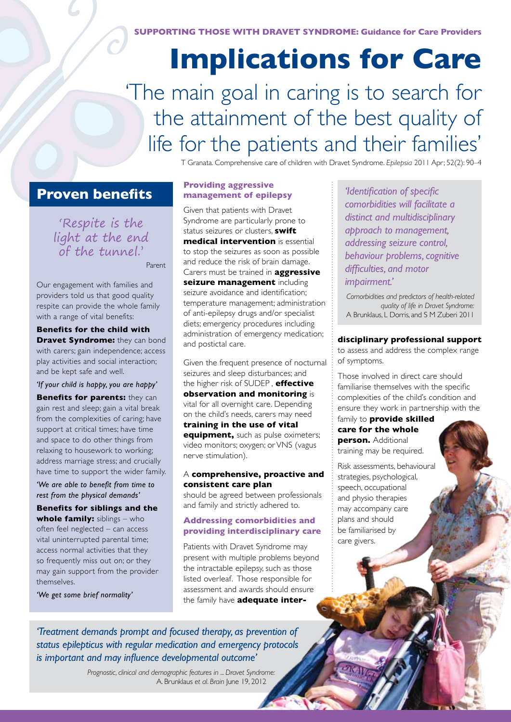**SUPPORTING THOSE WITH DRAVET SYNDROME: Guidance for Care Providers**

# **Implications for Care**

# 'The main goal in caring is to search for the attainment of the best quality of life for the patients and their families'

T Granata. Comprehensive care of children with Dravet Syndrome. *Epilepsia* 2011 Apr; 52(2): 90–4

### **Proven benefits**

'Respite is the light at the end of the tunnel.'

Parent

Our engagement with families and providers told us that good quality respite can provide the whole family with a range of vital benefits:

**Benefits for the child with Dravet Syndrome:** they can bond with carers; gain independence; access play activities and social interaction; and be kept safe and well.

*'If your child is happy, you are happy'*

**Benefits for parents:** they can gain rest and sleep; gain a vital break from the complexities of caring; have support at critical times; have time and space to do other things from relaxing to housework to working; address marriage stress; and crucially have time to support the wider family.

*'We are able to benefit from time to rest from the physical demands'*

**Benefits for siblings and the whole family:** siblings – who often feel neglected – can access vital uninterrupted parental time; access normal activities that they so frequently miss out on; or they may gain support from the provider themselves.

*'We get some brief normality'*

#### **Providing aggressive management of epilepsy**

Given that patients with Dravet Syndrome are particularly prone to status seizures or clusters, **swift medical intervention** is essential to stop the seizures as soon as possible and reduce the risk of brain damage. Carers must be trained in **aggressive seizure management** including seizure avoidance and identification; temperature management; administration of anti-epilepsy drugs and/or specialist diets; emergency procedures including administration of emergency medication; and postictal care.

Given the frequent presence of nocturnal seizures and sleep disturbances; and the higher risk of SUDEP , **effective observation and monitoring** is vital for all overnight care. Depending on the child's needs, carers may need **training in the use of vital equipment,** such as pulse oximeters; video monitors; oxygen; or VNS (vagus nerve stimulation).

#### A **comprehensive, proactive and consistent care plan**

should be agreed between professionals and family and strictly adhered to.

#### **Addressing comorbidities and providing interdisciplinary care**

Patients with Dravet Syndrome may present with multiple problems beyond the intractable epilepsy, such as those listed overleaf. Those responsible for assessment and awards should ensure the family have **adequate inter-**

*'Identification of specific comorbidities will facilitate a distinct and multidisciplinary approach to management, addressing seizure control, behaviour problems, cognitive difficulties, and motor impairment.'*

*Comorbidities and predictors of health-related quality of life in Dravet Syndrome:* A Brunklaus, L Dorris, and S M Zuberi 2011

**disciplinary professional support**

to assess and address the complex range of symptoms.

Those involved in direct care should familiarise themselves with the specific complexities of the child's condition and ensure they work in partnership with the

family to **provide skilled care for the whole person.** Additional training may be required.

Risk assessments, behavioural strategies, psychological, speech, occupational and physio therapies may accompany care plans and should be familiarised by care givers.

*'Treatment demands prompt and focused therapy, as prevention of status epilepticus with regular medication and emergency protocols is important and may influence developmental outcome'*

> *Prognostic, clinical and demographic features in ... Dravet Syndrome:* A. Brunklaus *et al*. *Brain* June 19, 2012